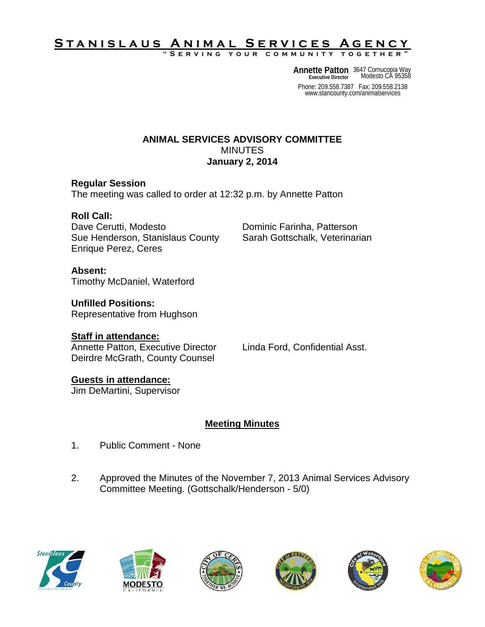# **Stanislaus Animal Services Agency**

**"Serving your community together"**

**Annette Patton** 3647 Cornucopia Way<br> **Executive Director** Modesto CA 95358 **Executive Director**

Phone: 209.558.7387 Fax: 209.558.2138 www.stancounty.com/animalservices

#### **ANIMAL SERVICES ADVISORY COMMITTEE** MINUTES **January 2, 2014**

#### **Regular Session**

The meeting was called to order at 12:32 p.m. by Annette Patton

## **Roll Call:**

Dave Cerutti, Modesto **Dominic Farinha, Patterson** Sue Henderson, Stanislaus County Sarah Gottschalk, Veterinarian Enrique Perez, Ceres

## **Absent:**

Timothy McDaniel, Waterford

## **Unfilled Positions:**

Representative from Hughson

## **Staff in attendance:**

Annette Patton, Executive Director Linda Ford, Confidential Asst. Deirdre McGrath, County Counsel

## **Guests in attendance:**

Jim DeMartini, Supervisor

# **Meeting Minutes**

- 1. Public Comment None
- 2. Approved the Minutes of the November 7, 2013 Animal Services Advisory Committee Meeting. (Gottschalk/Henderson - 5/0)











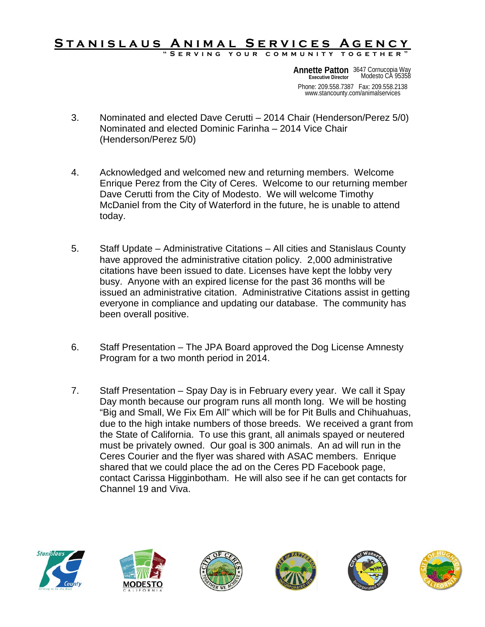#### **Stanislaus Animal Services Agency "Serving your community together"**

Phone: 209.558.7387 Fax: 209.558.2138 www.stancounty.com/animalservices **Annette Patton** 3647 Cornucopia Way<br> **Executive Director** Modesto CA 95358 **Executive Director**

- 3. Nominated and elected Dave Cerutti 2014 Chair (Henderson/Perez 5/0) Nominated and elected Dominic Farinha – 2014 Vice Chair (Henderson/Perez 5/0)
- 4. Acknowledged and welcomed new and returning members. Welcome Enrique Perez from the City of Ceres. Welcome to our returning member Dave Cerutti from the City of Modesto. We will welcome Timothy McDaniel from the City of Waterford in the future, he is unable to attend today.
- 5. Staff Update Administrative Citations All cities and Stanislaus County have approved the administrative citation policy. 2,000 administrative citations have been issued to date. Licenses have kept the lobby very busy. Anyone with an expired license for the past 36 months will be issued an administrative citation. Administrative Citations assist in getting everyone in compliance and updating our database. The community has been overall positive.
- 6. Staff Presentation The JPA Board approved the Dog License Amnesty Program for a two month period in 2014.
- 7. Staff Presentation Spay Day is in February every year. We call it Spay Day month because our program runs all month long. We will be hosting "Big and Small, We Fix Em All" which will be for Pit Bulls and Chihuahuas, due to the high intake numbers of those breeds. We received a grant from the State of California. To use this grant, all animals spayed or neutered must be privately owned. Our goal is 300 animals. An ad will run in the Ceres Courier and the flyer was shared with ASAC members. Enrique shared that we could place the ad on the Ceres PD Facebook page, contact Carissa Higginbotham. He will also see if he can get contacts for Channel 19 and Viva.